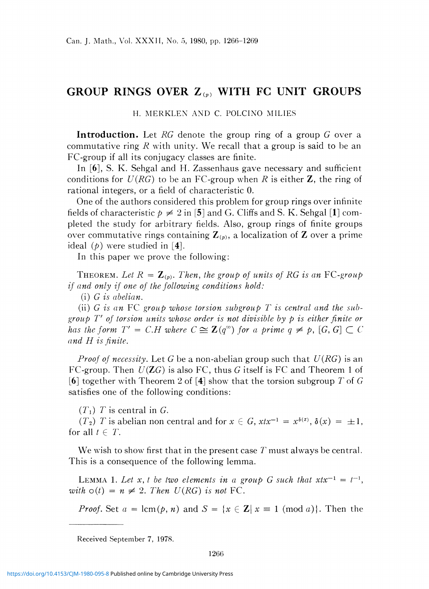## GROUP RINGS OVER *Z(P)* WITH FC UNIT GROUPS

## H. MERKLEN AND C. POLCINO MILIES

**Introduction.** Let *RG* denote the group ring of a group *G* over a commutative ring *R* with unity. We recall that a group is said to be an FC-group if all its conjugacy classes are finite.

In [6], S. K. Sehgal and H. Zassenhaus gave necessary and sufficient conditions for *U(RG)* to be an FC-group when *R* is either Z, the ring of rational integers, or a field of characteristic 0.

One of the authors considered this problem for group rings over infinite fields of characteristic  $p \neq 2$  in [5] and G. Cliffs and S. K. Sehgal [1] completed the study for arbitrary fields. Also, group rings of finite groups over commutative rings containing  $\mathbb{Z}_{(p)}$ , a localization of  $\mathbb Z$  over a prime ideal *(p) were* studied in [4].

In this paper we prove the following:

THEOREM. Let  $R = \mathbb{Z}_{(p)}$ . Then, the group of units of RG is an FC-group *if and only if one of the following conditions hold:* 

(i) *G is abelian.* 

(ii) *G is an* FC *group whose torsion subgroup T is central and the subgroup T' of torsion units whose order is not divisible by p is either finite or has the form*  $T' = C.H$  where  $C \cong \mathbb{Z}(q^{\infty})$  for a prime  $q \neq p$ ,  $[G, G] \subset C$ *and H is finite.* 

*Proof of necessity.* Let G be a non-abelian group such that *U{RG)* is an FC-group. Then *U(ZG)* is also FC, thus *G* itself is FC and Theorem 1 of  $[6]$  together with Theorem 2 of  $[4]$  show that the torsion subgroup T of G satisfies one of the following conditions:

 $(T<sub>1</sub>)$  *T* is central in *G*.

*(T<sub>2</sub>) T* is abelian non central and for  $x \in G$ ,  $xtx^{-1} = x^{\delta(x)}$ ,  $\delta(x) = \pm 1$ , for all  $t \in T$ .

We wish to show first that in the present case  $T$  must always be central. This is a consequence of the following lemma.

LEMMA 1. Let x, t be two elements in a group G such that  $xtx^{-1} = t^{-1}$ , *with*  $o(t) = n \neq 2$ . *Then U(RG) is not* FC.

*Proof.* Set  $a = \text{lcm}(p, n)$  and  $S = \{x \in \mathbb{Z} | x \equiv 1 \pmod{a}\}$ . Then the

Received September 7, 1978.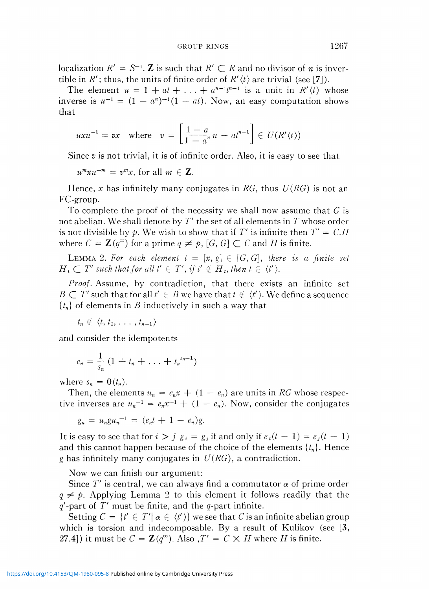localization  $R' = S^{-1}$ . **Z** is such that  $R' \subset R$  and no divisor of *n* is invertible in  $R'$ ; thus, the units of finite order of  $R'(t)$  are trivial (see [7]).

The element  $u = 1 + at + \ldots + a^{n-1}t^{n-1}$  is a unit in  $R'(t)$  whose inverse is  $u^{-1} = (1 - a^n)^{-1}(1 - at)$ . Now, an easy computation shows that

$$
uxu^{-1} = vx \quad \text{where} \quad v = \left[\frac{1-a}{1-a^n}u - at^{n-1}\right] \in U(R'(t))
$$

Since *v* is not trivial, it is of infinite order. Also, it is easy to see tha t

 $\overline{\phantom{0}}$   $\overline{\phantom{0}}$   $\overline{\phantom{0}}$   $\overline{\phantom{0}}$   $\overline{\phantom{0}}$   $\overline{\phantom{0}}$   $\overline{\phantom{0}}$   $\overline{\phantom{0}}$   $\overline{\phantom{0}}$   $\overline{\phantom{0}}$   $\overline{\phantom{0}}$   $\overline{\phantom{0}}$   $\overline{\phantom{0}}$   $\overline{\phantom{0}}$   $\overline{\phantom{0}}$   $\overline{\phantom{0}}$   $\overline{\phantom{0}}$   $\overline{\phantom{0}}$   $\overline{\$  = *v x,* for all *m* £ Z.

Hence, *x* has infinitely many conjugates in *RG,* thus *U(RG)* is not an FC-group.

To complete the proof of the necessity we shall now assume that  $G$  is not abelian. We shall denote by *T'* the set of all elements in *T* whose order is not divisible by p. We wish to show that if T' is infinite then  $T' = C.H$ where  $C = \mathbb{Z}(q^{\omega})$  for a prime  $q \neq p$ ,  $[G, G] \subset C$  and *H* is finite.

LEMMA 2. For each element  $t = [x, g] \in [G, G]$ , there is a finite set  $H_t \subset T'$  such that for all  $t' \in T'$ , if  $t' \notin H_t$ , then  $t \in \langle t' \rangle$ .

*Proof.* Assume, by contradiction, that there exists an infinite set  $B \subset T'$  such that for all  $t' \in B$  we have that  $t \notin \langle t' \rangle$ . We define a sequence  ${t_n}$  of elements in *B* inductively in such a way that

 $t_n \notin \langle t, t_1, \ldots, t_{n-1} \rangle$ 

and consider the idempotents

$$
e_n = \frac{1}{s_n} (1 + t_n + \ldots + t_n^{s_n-1})
$$

where  $s_n = 0(t_n)$ .

Then, the elements  $u_n = e_n x + (1 - e_n)$  are units in RG whose respective inverses are  $u_n^{-1} = e_n x^{-1} + (1 - e_n)$ . Now, consider the conjugates

$$
g_n = u_n g u_n^{-1} = (e_n t + 1 - e_n) g.
$$

It is easy to see that for  $i > j$   $g_i = g_j$  if and only if  $e_i(t - 1) = e_j(t - 1)$ and this cannot happen because of the choice of the elements *{tn}.* Hence *g* has infinitely many conjugates in *U(RG),* a contradiction.

Now we can finish our argument:

Since  $T'$  is central, we can always find a commutator  $\alpha$  of prime order  $q \neq p$ . Applying Lemma 2 to this element it follows readily that the  $q'$ -part of  $T'$  must be finite, and the  $q$ -part infinite.

Setting  $C = \{t' \in T' | \alpha \in \langle t' \rangle\}$  we see that *C* is an infinite abelian group which is torsion and indecomposable. By a result of Kulikov (see  $[3,$ 27.4]) it must be  $C = \mathbb{Z}(q^{\infty})$ . Also  $T' = C \times H$  where *H* is finite.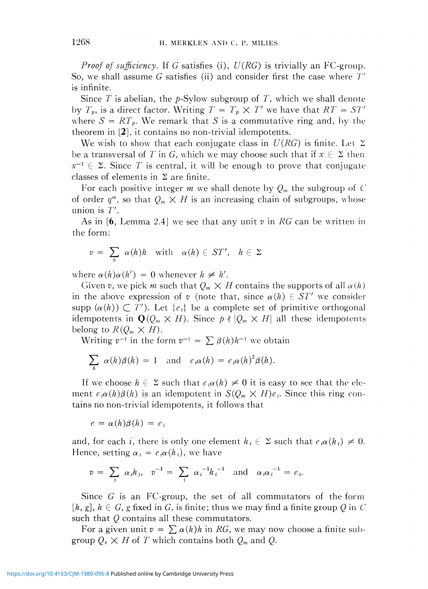*Proof of sufficiency.* If *G* satisfies (i), *U{RG)* is trivially an FC-group. So, we shall assume *G* satisfies (ii) and consider first the case where *T'*  is infinite.

Since  $T$  is abelian, the  $p$ -Sylow subgroup of  $T$ , which we shall denote by  $T_p$ , is a direct factor. Writing  $T = T_p \times T'$  we have that  $RT = ST'$ where  $S = RT<sub>p</sub>$ . We remark that *S* is a commutative ring and, by the theorem in [2], it contains no non-trivial idempotents.

We wish to show that each conjugate class in  $U(RG)$  is finite. Let  $\Sigma$ be a transversal of T in G, which we may choose such that if  $x \in \Sigma$  then  $x^{-1} \in \Sigma$ . Since T is central, it will be enough to prove that conjugate classes of elements in  $\Sigma$  are finite.

For each positive integer *m* we shall denote by *Qm* the subgroup of *C*  of order  $q^m$ , so that  $Q_m \times H$  is an increasing chain of subgroups, whose union is *T'.* 

As in [6, Lemma 2.4] we see that any unit v in RG can be written in the form:

$$
v = \sum_{h} \alpha(h)h \quad \text{with} \quad \alpha(h) \in ST', \quad h \in \Sigma
$$

where  $\alpha(h)\alpha(h') = 0$  whenever  $h \neq h'$ .

Given v, we pick m such that  $Q_m \times H$  contains the supports of all  $\alpha(h)$ in the above expression of  $v$  (note that, since  $\alpha(h) \in ST'$  we consider supp  $(\alpha(h)) \subset T'$ ). Let  $\{e_i\}$  be a complete set of primitive orthogonal idempotents in  $\mathbf{Q}(Q_m \times H)$ . Since  $p \nmid |Q_m \times H|$  all these idempotents belong to  $R(Q_m \times H)$ .

Writing  $v^{-1}$  in the form  $v^{-1} = \sum \beta(h)h^{-1}$  we obtain

$$
\sum_{h} \alpha(h)\beta(h) = 1 \text{ and } e_i\alpha(h) = e_i\alpha(h)^2\beta(h).
$$

If we choose  $h \in \Sigma$  such that  $e_i \alpha(h) \neq 0$  it is easy to see that the element  $e_i\alpha(h)\beta(h)$  is an idempotent in  $S(Q_m \times H)e_i$ . Since this ring contains no non-trivial idempotents, it follows that

$$
e = \alpha(h)\beta(h) = e_i
$$

and, for each *i*, there is only one element  $h_i \in \Sigma$  such that  $e_i \alpha(h_i) \neq 0$ . Hence, setting  $\alpha_i = e_i \alpha(h_i)$ , we have

$$
v = \sum_{i} \alpha_{i} h_{i}, v^{-1} = \sum_{i} \alpha_{i}^{-1} h_{i}^{-1}
$$
 and  $\alpha_{i} \alpha_{i}^{-1} = e_{i}$ .

Since *G* is an FC-group, the set of all commutators of the form  $[h, g], h \in G$ , g fixed in G, is finite; thus we may find a finite group Q in C such that  $Q$  contains all these commutators.

For a given unit  $v = \sum_{\alpha} \alpha(h)h$  in RG, we may now choose a finite subgroup  $Q_v \times H$  of T which contains both  $Q_m$  and  $Q$ .